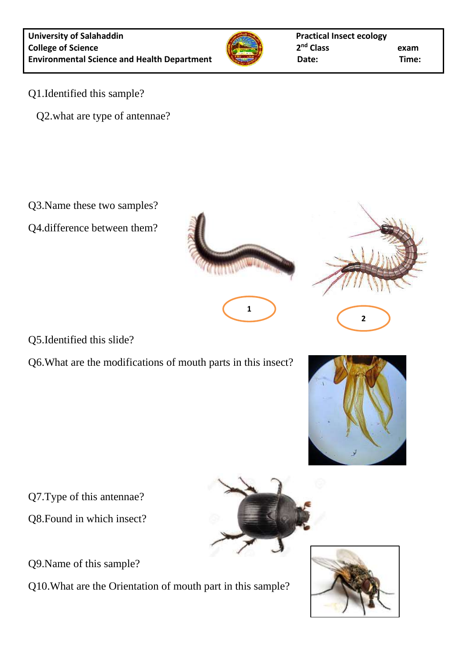

**1**

- Q1.Identified this sample?
	- Q2.what are type of antennae?

Q3.Name these two samples?

Q4.difference between them?



Q6.What are the modifications of mouth parts in this insect?





Q7.Type of this antennae?

Q8.Found in which insect?

Q9.Name of this sample?

Q10.What are the Orientation of mouth part in this sample?

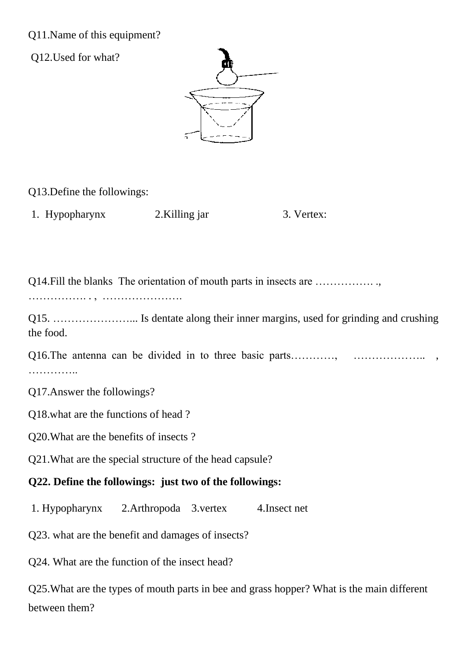## Q11.Name of this equipment?

Q12.Used for what?



Q13.Define the followings:

1. Hypopharynx 2. Killing jar 3. Vertex:

Q14.Fill the blanks The orientation of mouth parts in insects are ……………. .,

……………. . , ………………….

Q15. …………………... Is dentate along their inner margins, used for grinding and crushing the food.

| . |  |  |  |  |  |  |
|---|--|--|--|--|--|--|

Q17.Answer the followings?

Q18.what are the functions of head ?

Q20.What are the benefits of insects ?

Q21.What are the special structure of the head capsule?

## **Q22. Define the followings: just two of the followings:**

1. Hypopharynx 2.Arthropoda 3.vertex 4.Insect net

Q23. what are the benefit and damages of insects?

Q24. What are the function of the insect head?

Q25.What are the types of mouth parts in bee and grass hopper? What is the main different between them?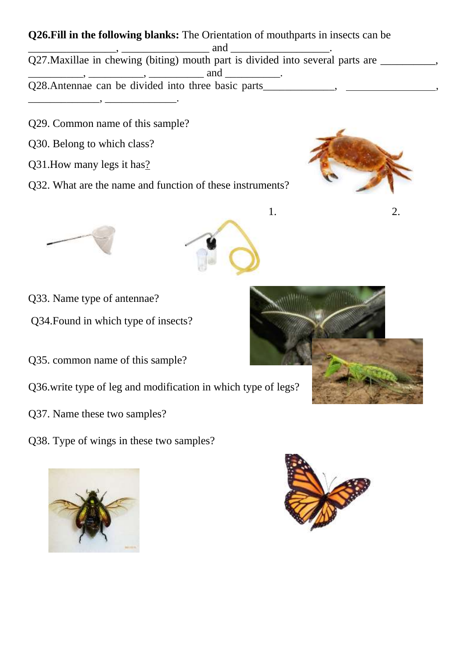- **Q26.Fill in the following blanks:** The Orientation of mouthparts in insects can be  $\frac{1}{2}$  and  $\frac{1}{2}$  and  $\frac{1}{2}$  and  $\frac{1}{2}$  and  $\frac{1}{2}$  and  $\frac{1}{2}$  and  $\frac{1}{2}$  and  $\frac{1}{2}$  and  $\frac{1}{2}$  and  $\frac{1}{2}$  and  $\frac{1}{2}$  and  $\frac{1}{2}$  and  $\frac{1}{2}$  and  $\frac{1}{2}$  and  $\frac{1}{2}$  and  $\frac{1}{2}$  a Q27.Maxillae in chewing (biting) mouth part is divided into several parts are \_\_\_\_\_\_\_\_,  $\frac{1}{\sqrt{1-\frac{1}{2}}}\frac{1}{\sqrt{1-\frac{1}{2}}}\frac{1}{\sqrt{1-\frac{1}{2}}}\frac{1}{\sqrt{1-\frac{1}{2}}}\frac{1}{\sqrt{1-\frac{1}{2}}}\frac{1}{\sqrt{1-\frac{1}{2}}}\frac{1}{\sqrt{1-\frac{1}{2}}}\frac{1}{\sqrt{1-\frac{1}{2}}}\frac{1}{\sqrt{1-\frac{1}{2}}}\frac{1}{\sqrt{1-\frac{1}{2}}}\frac{1}{\sqrt{1-\frac{1}{2}}}\frac{1}{\sqrt{1-\frac{1}{2}}}\frac{1}{\sqrt{1-\frac{1}{2}}}\frac{1}{\sqrt{1-\frac{$ Q28.Antennae can be divided into three basic parts\_\_\_\_\_\_\_\_\_\_, \_\_\_\_\_\_\_\_\_\_\_\_\_\_,
- Q29. Common name of this sample?

\_\_\_\_\_\_\_\_\_\_\_\_\_, \_\_\_\_\_\_\_\_\_\_\_\_\_.

- Q30. Belong to which class?
- Q31.How many legs it has?
- Q32. What are the name and function of these instruments?





- Q33. Name type of antennae?
- Q34.Found in which type of insects?
- Q35. common name of this sample?
- Q36.write type of leg and modification in which type of legs?
- Q37. Name these two samples?
- Q38. Type of wings in these two samples?







1. 2.

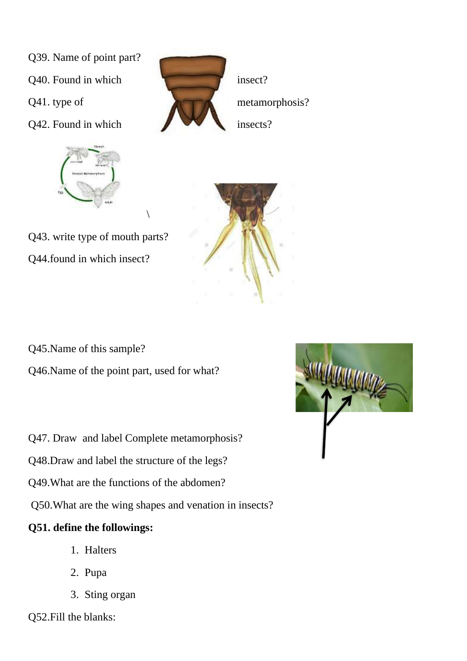- Q39. Name of point part?
- Q40. Found in which insect?
- 
- Q42. Found in which insects?







Q43. write type of mouth parts? Q44.found in which insect?

Q45.Name of this sample?

Q46.Name of the point part, used for what?

 $\setminus$ 

- Q47. Draw and label Complete metamorphosis?
- Q48.Draw and label the structure of the legs?
- Q49.What are the functions of the abdomen?

Q50.What are the wing shapes and venation in insects?

## **Q51. define the followings:**

- 1. Halters
- 2. Pupa
- 3. Sting organ



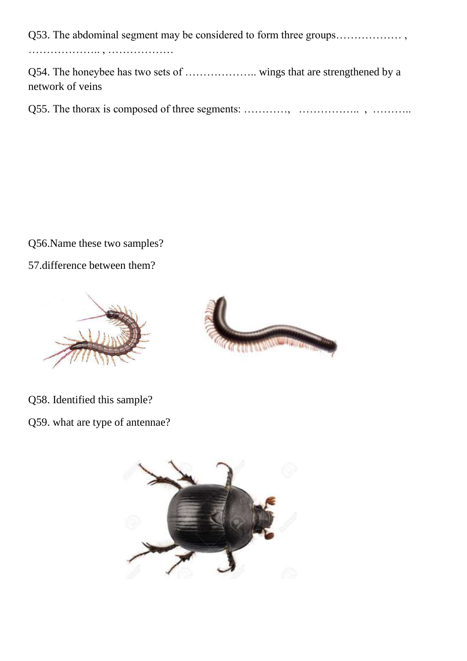Q53. The abdominal segment may be considered to form three groups……………… , ……………….. , ………………

Q54. The honeybee has two sets of ……………….. wings that are strengthened by a network of veins

Q55. The thorax is composed of three segments: …………, …………….. , ………..

Q56.Name these two samples?

57.difference between them?





Q58. Identified this sample?

Q59. what are type of antennae?